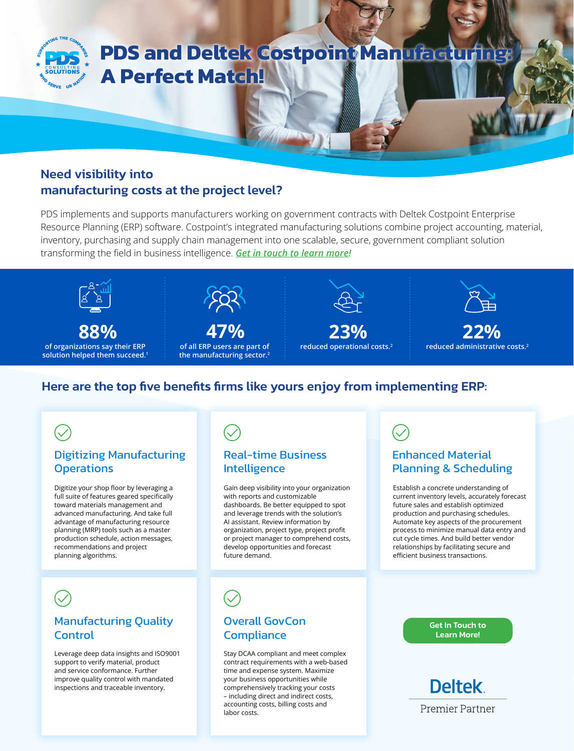

# **PDS and Deltek Costpoint Manufacturi A Perfect Match!**

# Need visibility into manufacturing costs at the project level?

PDS implements and supports manufacturers working on government contracts with Deltek Costpoint Enterprise Resource Planning (ERP) software. Costpoint's integrated manufacturing solutions combine project accounting, material, inventory, purchasing and supply chain management into one scalable, secure, government compliant solution transforming the field in business intelligence. *[Get in touch to learn more](https://www.pdsconsults.com/contact/)!*



**of organizations say their ERP solution helped them succeed.1 88%** 



**of all ERP users are part of the manufacturing sector.2**





**reduced administrative costs.2 22%** 

# Here are the top five benefits firms like yours enjoy from implementing ERP:

### Digitizing Manufacturing **Operations**

Digitize your shop floor by leveraging a full suite of features geared specifically toward materials management and advanced manufacturing. And take full advantage of manufacturing resource planning (MRP) tools such as a master production schedule, action messages, recommendations and project planning algorithms.

### Real-time Business Intelligence

Gain deep visibility into your organization with reports and customizable dashboards. Be better equipped to spot and leverage trends with the solution's AI assistant. Review information by organization, project type, project profit or project manager to comprehend costs, develop opportunities and forecast future demand.

# Enhanced Material Planning & Scheduling

Establish a concrete understanding of current inventory levels, accurately forecast future sales and establish optimized production and purchasing schedules. Automate key aspects of the procurement process to minimize manual data entry and cut cycle times. And build better vendor relationships by facilitating secure and efficient business transactions.

## Manufacturing Quality Control

Leverage deep data insights and ISO9001 support to verify material, product and service conformance. Further improve quality control with mandated inspections and traceable inventory.

# Overall GovCon **Compliance**

Stay DCAA compliant and meet complex contract requirements with a web-based time and expense system. Maximize your business opportunities while comprehensively tracking your costs – including direct and indirect costs, accounting costs, billing costs and labor costs.

[Get In Touch to](https://www.pdsconsults.com/contact/)  Learn More!